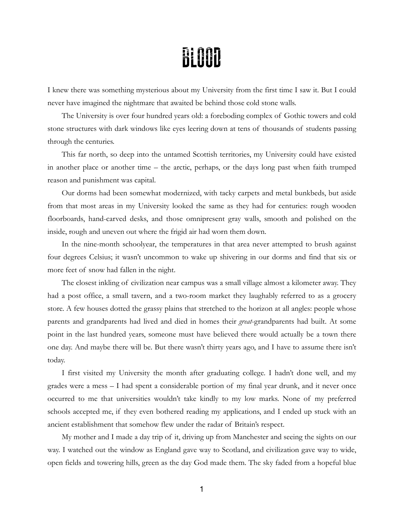## **BLOOD**

I knew there was something mysterious about my University from the first time I saw it. But I could never have imagined the nightmare that awaited be behind those cold stone walls.

The University is over four hundred years old: a foreboding complex of Gothic towers and cold stone structures with dark windows like eyes leering down at tens of thousands of students passing through the centuries.

This far north, so deep into the untamed Scottish territories, my University could have existed in another place or another time – the arctic, perhaps, or the days long past when faith trumped reason and punishment was capital.

Our dorms had been somewhat modernized, with tacky carpets and metal bunkbeds, but aside from that most areas in my University looked the same as they had for centuries: rough wooden floorboards, hand-carved desks, and those omnipresent gray walls, smooth and polished on the inside, rough and uneven out where the frigid air had worn them down.

In the nine-month schoolyear, the temperatures in that area never attempted to brush against four degrees Celsius; it wasn't uncommon to wake up shivering in our dorms and find that six or more feet of snow had fallen in the night.

The closest inkling of civilization near campus was a small village almost a kilometer away. They had a post office, a small tavern, and a two-room market they laughably referred to as a grocery store. A few houses dotted the grassy plains that stretched to the horizon at all angles: people whose parents and grandparents had lived and died in homes their *great*-grandparents had built. At some point in the last hundred years, someone must have believed there would actually be a town there one day. And maybe there will be. But there wasn't thirty years ago, and I have to assume there isn't today.

I first visited my University the month after graduating college. I hadn't done well, and my grades were a mess – I had spent a considerable portion of my final year drunk, and it never once occurred to me that universities wouldn't take kindly to my low marks. None of my preferred schools accepted me, if they even bothered reading my applications, and I ended up stuck with an ancient establishment that somehow flew under the radar of Britain's respect.

My mother and I made a day trip of it, driving up from Manchester and seeing the sights on our way. I watched out the window as England gave way to Scotland, and civilization gave way to wide, open fields and towering hills, green as the day God made them. The sky faded from a hopeful blue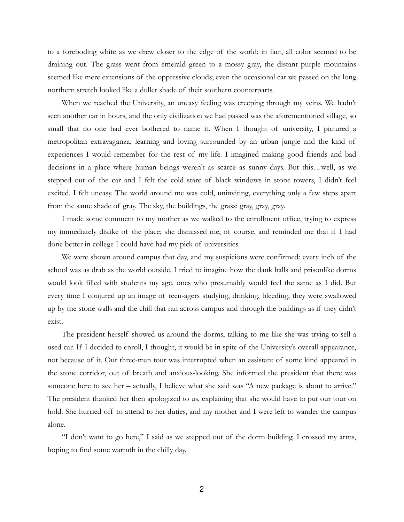to a foreboding white as we drew closer to the edge of the world; in fact, all color seemed to be draining out. The grass went from emerald green to a mossy gray, the distant purple mountains seemed like mere extensions of the oppressive clouds; even the occasional car we passed on the long northern stretch looked like a duller shade of their southern counterparts.

When we reached the University, an uneasy feeling was creeping through my veins. We hadn't seen another car in hours, and the only civilization we had passed was the aforementioned village, so small that no one had ever bothered to name it. When I thought of university, I pictured a metropolitan extravaganza, learning and loving surrounded by an urban jungle and the kind of experiences I would remember for the rest of my life. I imagined making good friends and bad decisions in a place where human beings weren't as scarce as sunny days. But this…well, as we stepped out of the car and I felt the cold stare of black windows in stone towers, I didn't feel excited. I felt uneasy. The world around me was cold, uninviting, everything only a few steps apart from the same shade of gray. The sky, the buildings, the grass: gray, gray, gray.

I made some comment to my mother as we walked to the enrollment office, trying to express my immediately dislike of the place; she dismissed me, of course, and reminded me that if I had done better in college I could have had my pick of universities.

We were shown around campus that day, and my suspicions were confirmed: every inch of the school was as drab as the world outside. I tried to imagine how the dank halls and prisonlike dorms would look filled with students my age, ones who presumably would feel the same as I did. But every time I conjured up an image of teen-agers studying, drinking, bleeding, they were swallowed up by the stone walls and the chill that ran across campus and through the buildings as if they didn't exist.

The president herself showed us around the dorms, talking to me like she was trying to sell a used car. If I decided to enroll, I thought, it would be in spite of the University's overall appearance, not because of it. Our three-man tour was interrupted when an assistant of some kind appeared in the stone corridor, out of breath and anxious-looking. She informed the president that there was someone here to see her – actually, I believe what she said was "A new package is about to arrive." The president thanked her then apologized to us, explaining that she would have to put our tour on hold. She hurried off to attend to her duties, and my mother and I were left to wander the campus alone.

"I don't want to go here," I said as we stepped out of the dorm building. I crossed my arms, hoping to find some warmth in the chilly day.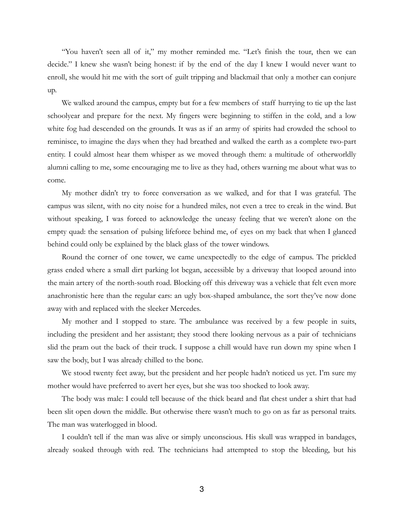"You haven't seen all of it," my mother reminded me. "Let's finish the tour, then we can decide." I knew she wasn't being honest: if by the end of the day I knew I would never want to enroll, she would hit me with the sort of guilt tripping and blackmail that only a mother can conjure up.

We walked around the campus, empty but for a few members of staff hurrying to tie up the last schoolyear and prepare for the next. My fingers were beginning to stiffen in the cold, and a low white fog had descended on the grounds. It was as if an army of spirits had crowded the school to reminisce, to imagine the days when they had breathed and walked the earth as a complete two-part entity. I could almost hear them whisper as we moved through them: a multitude of otherworldly alumni calling to me, some encouraging me to live as they had, others warning me about what was to come.

My mother didn't try to force conversation as we walked, and for that I was grateful. The campus was silent, with no city noise for a hundred miles, not even a tree to creak in the wind. But without speaking, I was forced to acknowledge the uneasy feeling that we weren't alone on the empty quad: the sensation of pulsing lifeforce behind me, of eyes on my back that when I glanced behind could only be explained by the black glass of the tower windows.

Round the corner of one tower, we came unexpectedly to the edge of campus. The prickled grass ended where a small dirt parking lot began, accessible by a driveway that looped around into the main artery of the north-south road. Blocking off this driveway was a vehicle that felt even more anachronistic here than the regular cars: an ugly box-shaped ambulance, the sort they've now done away with and replaced with the sleeker Mercedes.

My mother and I stopped to stare. The ambulance was received by a few people in suits, including the president and her assistant; they stood there looking nervous as a pair of technicians slid the pram out the back of their truck. I suppose a chill would have run down my spine when I saw the body, but I was already chilled to the bone.

We stood twenty feet away, but the president and her people hadn't noticed us yet. I'm sure my mother would have preferred to avert her eyes, but she was too shocked to look away.

The body was male: I could tell because of the thick beard and flat chest under a shirt that had been slit open down the middle. But otherwise there wasn't much to go on as far as personal traits. The man was waterlogged in blood.

I couldn't tell if the man was alive or simply unconscious. His skull was wrapped in bandages, already soaked through with red. The technicians had attempted to stop the bleeding, but his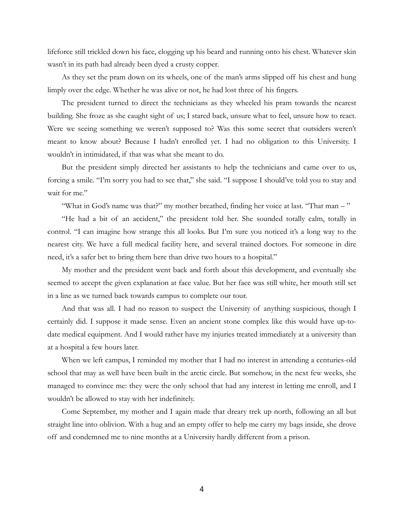lifeforce still trickled down his face, clogging up his beard and running onto his chest. Whatever skin wasn't in its path had already been dyed a crusty copper.

As they set the pram down on its wheels, one of the man's arms slipped off his chest and hung limply over the edge. Whether he was alive or not, he had lost three of his fingers.

The president turned to direct the technicians as they wheeled his pram towards the nearest building. She froze as she caught sight of us; I stared back, unsure what to feel, unsure how to react. Were we seeing something we weren't supposed to? Was this some secret that outsiders weren't meant to know about? Because I hadn't enrolled yet. I had no obligation to this University. I wouldn't in intimidated, if that was what she meant to do.

But the president simply directed her assistants to help the technicians and came over to us, forcing a smile. "I'm sorry you had to see that," she said. "I suppose I should've told you to stay and wait for me."

"What in God's name was that?" my mother breathed, finding her voice at last. "That man – "

"He had a bit of an accident," the president told her. She sounded totally calm, totally in control. "I can imagine how strange this all looks. But I'm sure you noticed it's a long way to the nearest city. We have a full medical facility here, and several trained doctors. For someone in dire need, it's a safer bet to bring them here than drive two hours to a hospital."

My mother and the president went back and forth about this development, and eventually she seemed to accept the given explanation at face value. But her face was still white, her mouth still set in a line as we turned back towards campus to complete our tour.

And that was all. I had no reason to suspect the University of anything suspicious, though I certainly did. I suppose it made sense. Even an ancient stone complex like this would have up-todate medical equipment. And I would rather have my injuries treated immediately at a university than at a hospital a few hours later.

When we left campus, I reminded my mother that I had no interest in attending a centuries-old school that may as well have been built in the arctic circle. But somehow, in the next few weeks, she managed to convince me: they were the only school that had any interest in letting me enroll, and I wouldn't be allowed to stay with her indefinitely.

Come September, my mother and I again made that dreary trek up north, following an all but straight line into oblivion. With a hug and an empty offer to help me carry my bags inside, she drove off and condemned me to nine months at a University hardly different from a prison.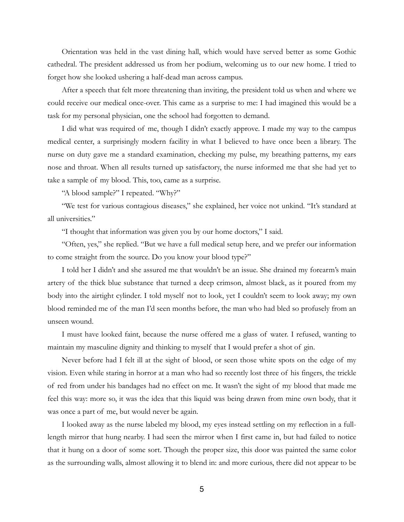Orientation was held in the vast dining hall, which would have served better as some Gothic cathedral. The president addressed us from her podium, welcoming us to our new home. I tried to forget how she looked ushering a half-dead man across campus.

After a speech that felt more threatening than inviting, the president told us when and where we could receive our medical once-over. This came as a surprise to me: I had imagined this would be a task for my personal physician, one the school had forgotten to demand.

I did what was required of me, though I didn't exactly approve. I made my way to the campus medical center, a surprisingly modern facility in what I believed to have once been a library. The nurse on duty gave me a standard examination, checking my pulse, my breathing patterns, my ears nose and throat. When all results turned up satisfactory, the nurse informed me that she had yet to take a sample of my blood. This, too, came as a surprise.

"A blood sample?" I repeated. "Why?"

"We test for various contagious diseases," she explained, her voice not unkind. "It's standard at all universities."

"I thought that information was given you by our home doctors," I said.

"Often, yes," she replied. "But we have a full medical setup here, and we prefer our information to come straight from the source. Do you know your blood type?"

I told her I didn't and she assured me that wouldn't be an issue. She drained my forearm's main artery of the thick blue substance that turned a deep crimson, almost black, as it poured from my body into the airtight cylinder. I told myself not to look, yet I couldn't seem to look away; my own blood reminded me of the man I'd seen months before, the man who had bled so profusely from an unseen wound.

I must have looked faint, because the nurse offered me a glass of water. I refused, wanting to maintain my masculine dignity and thinking to myself that I would prefer a shot of gin.

Never before had I felt ill at the sight of blood, or seen those white spots on the edge of my vision. Even while staring in horror at a man who had so recently lost three of his fingers, the trickle of red from under his bandages had no effect on me. It wasn't the sight of my blood that made me feel this way: more so, it was the idea that this liquid was being drawn from mine own body, that it was once a part of me, but would never be again.

I looked away as the nurse labeled my blood, my eyes instead settling on my reflection in a fulllength mirror that hung nearby. I had seen the mirror when I first came in, but had failed to notice that it hung on a door of some sort. Though the proper size, this door was painted the same color as the surrounding walls, almost allowing it to blend in: and more curious, there did not appear to be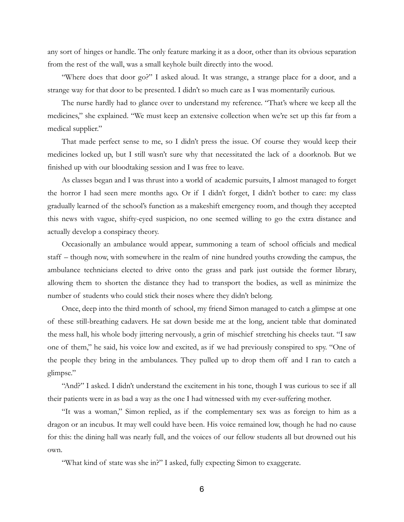any sort of hinges or handle. The only feature marking it as a door, other than its obvious separation from the rest of the wall, was a small keyhole built directly into the wood.

"Where does that door go?" I asked aloud. It was strange, a strange place for a door, and a strange way for that door to be presented. I didn't so much care as I was momentarily curious.

The nurse hardly had to glance over to understand my reference. "That's where we keep all the medicines," she explained. "We must keep an extensive collection when we're set up this far from a medical supplier."

That made perfect sense to me, so I didn't press the issue. Of course they would keep their medicines locked up, but I still wasn't sure why that necessitated the lack of a doorknob. But we finished up with our bloodtaking session and I was free to leave.

As classes began and I was thrust into a world of academic pursuits, I almost managed to forget the horror I had seen mere months ago. Or if I didn't forget, I didn't bother to care: my class gradually learned of the school's function as a makeshift emergency room, and though they accepted this news with vague, shifty-eyed suspicion, no one seemed willing to go the extra distance and actually develop a conspiracy theory.

Occasionally an ambulance would appear, summoning a team of school officials and medical staff – though now, with somewhere in the realm of nine hundred youths crowding the campus, the ambulance technicians elected to drive onto the grass and park just outside the former library, allowing them to shorten the distance they had to transport the bodies, as well as minimize the number of students who could stick their noses where they didn't belong.

Once, deep into the third month of school, my friend Simon managed to catch a glimpse at one of these still-breathing cadavers. He sat down beside me at the long, ancient table that dominated the mess hall, his whole body jittering nervously, a grin of mischief stretching his cheeks taut. "I saw one of them," he said, his voice low and excited, as if we had previously conspired to spy. "One of the people they bring in the ambulances. They pulled up to drop them off and I ran to catch a glimpse."

"And?" I asked. I didn't understand the excitement in his tone, though I was curious to see if all their patients were in as bad a way as the one I had witnessed with my ever-suffering mother.

"It was a woman," Simon replied, as if the complementary sex was as foreign to him as a dragon or an incubus. It may well could have been. His voice remained low, though he had no cause for this: the dining hall was nearly full, and the voices of our fellow students all but drowned out his own.

"What kind of state was she in?" I asked, fully expecting Simon to exaggerate.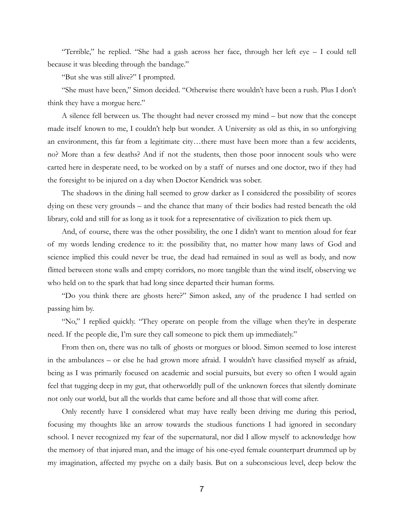"Terrible," he replied. "She had a gash across her face, through her left eye – I could tell because it was bleeding through the bandage."

"But she was still alive?" I prompted.

"She must have been," Simon decided. "Otherwise there wouldn't have been a rush. Plus I don't think they have a morgue here."

A silence fell between us. The thought had never crossed my mind – but now that the concept made itself known to me, I couldn't help but wonder. A University as old as this, in so unforgiving an environment, this far from a legitimate city…there must have been more than a few accidents, no? More than a few deaths? And if not the students, then those poor innocent souls who were carted here in desperate need, to be worked on by a staff of nurses and one doctor, two if they had the foresight to be injured on a day when Doctor Kendrick was sober.

The shadows in the dining hall seemed to grow darker as I considered the possibility of scores dying on these very grounds – and the chance that many of their bodies had rested beneath the old library, cold and still for as long as it took for a representative of civilization to pick them up.

And, of course, there was the other possibility, the one I didn't want to mention aloud for fear of my words lending credence to it: the possibility that, no matter how many laws of God and science implied this could never be true, the dead had remained in soul as well as body, and now flitted between stone walls and empty corridors, no more tangible than the wind itself, observing we who held on to the spark that had long since departed their human forms.

"Do you think there are ghosts here?" Simon asked, any of the prudence I had settled on passing him by.

"No," I replied quickly. "They operate on people from the village when they're in desperate need. If the people die, I'm sure they call someone to pick them up immediately."

From then on, there was no talk of ghosts or morgues or blood. Simon seemed to lose interest in the ambulances – or else he had grown more afraid. I wouldn't have classified myself as afraid, being as I was primarily focused on academic and social pursuits, but every so often I would again feel that tugging deep in my gut, that otherworldly pull of the unknown forces that silently dominate not only our world, but all the worlds that came before and all those that will come after.

Only recently have I considered what may have really been driving me during this period, focusing my thoughts like an arrow towards the studious functions I had ignored in secondary school. I never recognized my fear of the supernatural, nor did I allow myself to acknowledge how the memory of that injured man, and the image of his one-eyed female counterpart drummed up by my imagination, affected my psyche on a daily basis. But on a subconscious level, deep below the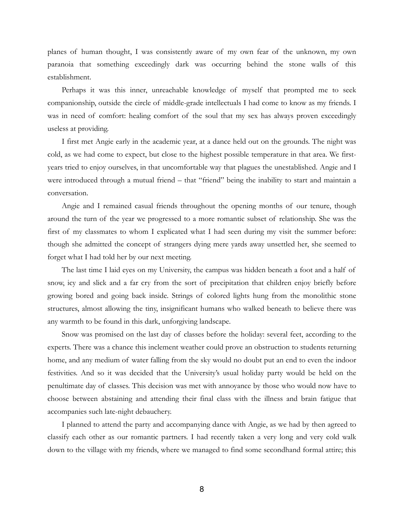planes of human thought, I was consistently aware of my own fear of the unknown, my own paranoia that something exceedingly dark was occurring behind the stone walls of this establishment.

Perhaps it was this inner, unreachable knowledge of myself that prompted me to seek companionship, outside the circle of middle-grade intellectuals I had come to know as my friends. I was in need of comfort: healing comfort of the soul that my sex has always proven exceedingly useless at providing.

I first met Angie early in the academic year, at a dance held out on the grounds. The night was cold, as we had come to expect, but close to the highest possible temperature in that area. We firstyears tried to enjoy ourselves, in that uncomfortable way that plagues the unestablished. Angie and I were introduced through a mutual friend – that "friend" being the inability to start and maintain a conversation.

Angie and I remained casual friends throughout the opening months of our tenure, though around the turn of the year we progressed to a more romantic subset of relationship. She was the first of my classmates to whom I explicated what I had seen during my visit the summer before: though she admitted the concept of strangers dying mere yards away unsettled her, she seemed to forget what I had told her by our next meeting.

The last time I laid eyes on my University, the campus was hidden beneath a foot and a half of snow, icy and slick and a far cry from the sort of precipitation that children enjoy briefly before growing bored and going back inside. Strings of colored lights hung from the monolithic stone structures, almost allowing the tiny, insignificant humans who walked beneath to believe there was any warmth to be found in this dark, unforgiving landscape.

Snow was promised on the last day of classes before the holiday: several feet, according to the experts. There was a chance this inclement weather could prove an obstruction to students returning home, and any medium of water falling from the sky would no doubt put an end to even the indoor festivities. And so it was decided that the University's usual holiday party would be held on the penultimate day of classes. This decision was met with annoyance by those who would now have to choose between abstaining and attending their final class with the illness and brain fatigue that accompanies such late-night debauchery.

I planned to attend the party and accompanying dance with Angie, as we had by then agreed to classify each other as our romantic partners. I had recently taken a very long and very cold walk down to the village with my friends, where we managed to find some secondhand formal attire; this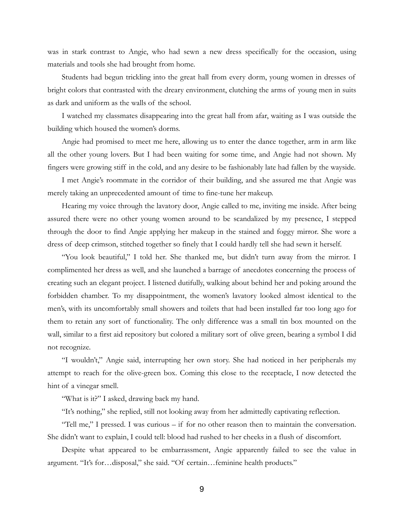was in stark contrast to Angie, who had sewn a new dress specifically for the occasion, using materials and tools she had brought from home.

Students had begun trickling into the great hall from every dorm, young women in dresses of bright colors that contrasted with the dreary environment, clutching the arms of young men in suits as dark and uniform as the walls of the school.

I watched my classmates disappearing into the great hall from afar, waiting as I was outside the building which housed the women's dorms.

Angie had promised to meet me here, allowing us to enter the dance together, arm in arm like all the other young lovers. But I had been waiting for some time, and Angie had not shown. My fingers were growing stiff in the cold, and any desire to be fashionably late had fallen by the wayside.

I met Angie's roommate in the corridor of their building, and she assured me that Angie was merely taking an unprecedented amount of time to fine-tune her makeup.

Hearing my voice through the lavatory door, Angie called to me, inviting me inside. After being assured there were no other young women around to be scandalized by my presence, I stepped through the door to find Angie applying her makeup in the stained and foggy mirror. She wore a dress of deep crimson, stitched together so finely that I could hardly tell she had sewn it herself.

"You look beautiful," I told her. She thanked me, but didn't turn away from the mirror. I complimented her dress as well, and she launched a barrage of anecdotes concerning the process of creating such an elegant project. I listened dutifully, walking about behind her and poking around the forbidden chamber. To my disappointment, the women's lavatory looked almost identical to the men's, with its uncomfortably small showers and toilets that had been installed far too long ago for them to retain any sort of functionality. The only difference was a small tin box mounted on the wall, similar to a first aid repository but colored a military sort of olive green, bearing a symbol I did not recognize.

"I wouldn't," Angie said, interrupting her own story. She had noticed in her peripherals my attempt to reach for the olive-green box. Coming this close to the receptacle, I now detected the hint of a vinegar smell.

"What is it?" I asked, drawing back my hand.

"It's nothing," she replied, still not looking away from her admittedly captivating reflection.

"Tell me," I pressed. I was curious – if for no other reason then to maintain the conversation. She didn't want to explain, I could tell: blood had rushed to her cheeks in a flush of discomfort.

Despite what appeared to be embarrassment, Angie apparently failed to see the value in argument. "It's for…disposal," she said. "Of certain…feminine health products."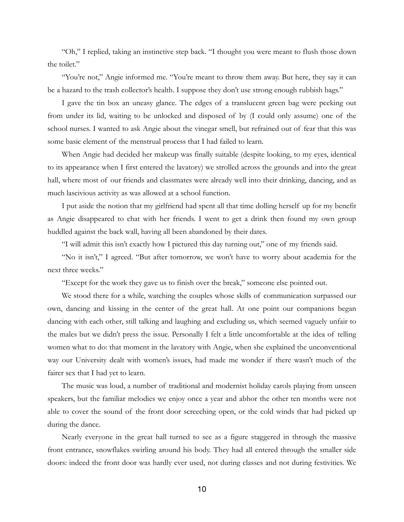"Oh," I replied, taking an instinctive step back. "I thought you were meant to flush those down the toilet."

"You're not," Angie informed me. "You're meant to throw them away. But here, they say it can be a hazard to the trash collector's health. I suppose they don't use strong enough rubbish bags."

I gave the tin box an uneasy glance. The edges of a translucent green bag were peeking out from under its lid, waiting to be unlocked and disposed of by (I could only assume) one of the school nurses. I wanted to ask Angie about the vinegar smell, but refrained out of fear that this was some basic element of the menstrual process that I had failed to learn.

When Angie had decided her makeup was finally suitable (despite looking, to my eyes, identical to its appearance when I first entered the lavatory) we strolled across the grounds and into the great hall, where most of our friends and classmates were already well into their drinking, dancing, and as much lascivious activity as was allowed at a school function.

I put aside the notion that my girlfriend had spent all that time dolling herself up for my benefit as Angie disappeared to chat with her friends. I went to get a drink then found my own group huddled against the back wall, having all been abandoned by their dates.

"I will admit this isn't exactly how I pictured this day turning out," one of my friends said.

"No it isn't," I agreed. "But after tomorrow, we won't have to worry about academia for the next three weeks."

"Except for the work they gave us to finish over the break," someone else pointed out.

We stood there for a while, watching the couples whose skills of communication surpassed our own, dancing and kissing in the center of the great hall. At one point our companions began dancing with each other, still talking and laughing and excluding us, which seemed vaguely unfair to the males but we didn't press the issue. Personally I felt a little uncomfortable at the idea of telling women what to do: that moment in the lavatory with Angie, when she explained the unconventional way our University dealt with women's issues, had made me wonder if there wasn't much of the fairer sex that I had yet to learn.

The music was loud, a number of traditional and modernist holiday carols playing from unseen speakers, but the familiar melodies we enjoy once a year and abhor the other ten months were not able to cover the sound of the front door screeching open, or the cold winds that had picked up during the dance.

Nearly everyone in the great hall turned to see as a figure staggered in through the massive front entrance, snowflakes swirling around his body. They had all entered through the smaller side doors: indeed the front door was hardly ever used, not during classes and not during festivities. We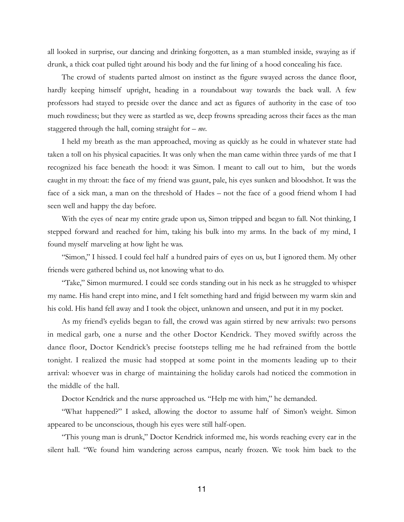all looked in surprise, our dancing and drinking forgotten, as a man stumbled inside, swaying as if drunk, a thick coat pulled tight around his body and the fur lining of a hood concealing his face.

The crowd of students parted almost on instinct as the figure swayed across the dance floor, hardly keeping himself upright, heading in a roundabout way towards the back wall. A few professors had stayed to preside over the dance and act as figures of authority in the case of too much rowdiness; but they were as startled as we, deep frowns spreading across their faces as the man staggered through the hall, coming straight for – *me*.

I held my breath as the man approached, moving as quickly as he could in whatever state had taken a toll on his physical capacities. It was only when the man came within three yards of me that I recognized his face beneath the hood: it was Simon. I meant to call out to him, but the words caught in my throat: the face of my friend was gaunt, pale, his eyes sunken and bloodshot. It was the face of a sick man, a man on the threshold of Hades – not the face of a good friend whom I had seen well and happy the day before.

With the eyes of near my entire grade upon us, Simon tripped and began to fall. Not thinking, I stepped forward and reached for him, taking his bulk into my arms. In the back of my mind, I found myself marveling at how light he was.

"Simon," I hissed. I could feel half a hundred pairs of eyes on us, but I ignored them. My other friends were gathered behind us, not knowing what to do.

"Take," Simon murmured. I could see cords standing out in his neck as he struggled to whisper my name. His hand crept into mine, and I felt something hard and frigid between my warm skin and his cold. His hand fell away and I took the object, unknown and unseen, and put it in my pocket.

As my friend's eyelids began to fall, the crowd was again stirred by new arrivals: two persons in medical garb, one a nurse and the other Doctor Kendrick. They moved swiftly across the dance floor, Doctor Kendrick's precise footsteps telling me he had refrained from the bottle tonight. I realized the music had stopped at some point in the moments leading up to their arrival: whoever was in charge of maintaining the holiday carols had noticed the commotion in the middle of the hall.

Doctor Kendrick and the nurse approached us. "Help me with him," he demanded.

"What happened?" I asked, allowing the doctor to assume half of Simon's weight. Simon appeared to be unconscious, though his eyes were still half-open.

"This young man is drunk," Doctor Kendrick informed me, his words reaching every ear in the silent hall. "We found him wandering across campus, nearly frozen. We took him back to the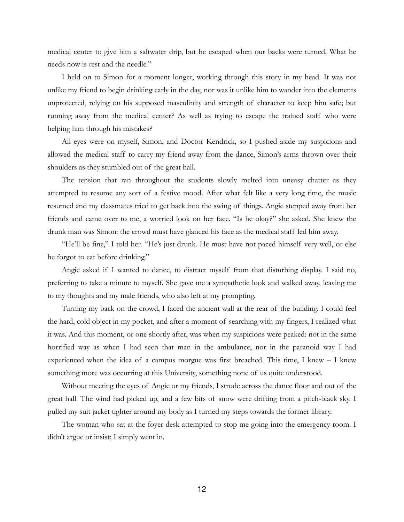medical center to give him a saltwater drip, but he escaped when our backs were turned. What he needs now is rest and the needle."

I held on to Simon for a moment longer, working through this story in my head. It was not unlike my friend to begin drinking early in the day, nor was it unlike him to wander into the elements unprotected, relying on his supposed masculinity and strength of character to keep him safe; but running away from the medical center? As well as trying to escape the trained staff who were helping him through his mistakes?

All eyes were on myself, Simon, and Doctor Kendrick, so I pushed aside my suspicions and allowed the medical staff to carry my friend away from the dance, Simon's arms thrown over their shoulders as they stumbled out of the great hall.

The tension that ran throughout the students slowly melted into uneasy chatter as they attempted to resume any sort of a festive mood. After what felt like a very long time, the music resumed and my classmates tried to get back into the swing of things. Angie stepped away from her friends and came over to me, a worried look on her face. "Is he okay?" she asked. She knew the drunk man was Simon: the crowd must have glanced his face as the medical staff led him away.

"He'll be fine," I told her. "He's just drunk. He must have not paced himself very well, or else he forgot to eat before drinking."

Angie asked if I wanted to dance, to distract myself from that disturbing display. I said no, preferring to take a minute to myself. She gave me a sympathetic look and walked away, leaving me to my thoughts and my male friends, who also left at my prompting.

Turning my back on the crowd, I faced the ancient wall at the rear of the building. I could feel the hard, cold object in my pocket, and after a moment of searching with my fingers, I realized what it was. And this moment, or one shortly after, was when my suspicions were peaked: not in the same horrified way as when I had seen that man in the ambulance, nor in the paranoid way I had experienced when the idea of a campus morgue was first breached. This time, I knew – I knew something more was occurring at this University, something none of us quite understood.

Without meeting the eyes of Angie or my friends, I strode across the dance floor and out of the great hall. The wind had picked up, and a few bits of snow were drifting from a pitch-black sky. I pulled my suit jacket tighter around my body as I turned my steps towards the former library.

The woman who sat at the foyer desk attempted to stop me going into the emergency room. I didn't argue or insist; I simply went in.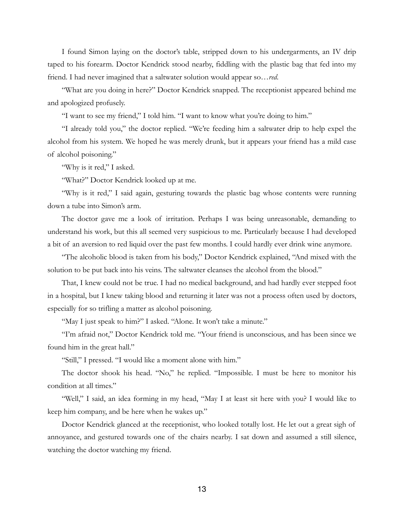I found Simon laying on the doctor's table, stripped down to his undergarments, an IV drip taped to his forearm. Doctor Kendrick stood nearby, fiddling with the plastic bag that fed into my friend. I had never imagined that a saltwater solution would appear so…*red*.

"What are you doing in here?" Doctor Kendrick snapped. The receptionist appeared behind me and apologized profusely.

"I want to see my friend," I told him. "I want to know what you're doing to him."

"I already told you," the doctor replied. "We're feeding him a saltwater drip to help expel the alcohol from his system. We hoped he was merely drunk, but it appears your friend has a mild case of alcohol poisoning."

"Why is it red," I asked.

"What?" Doctor Kendrick looked up at me.

"Why is it red," I said again, gesturing towards the plastic bag whose contents were running down a tube into Simon's arm.

The doctor gave me a look of irritation. Perhaps I was being unreasonable, demanding to understand his work, but this all seemed very suspicious to me. Particularly because I had developed a bit of an aversion to red liquid over the past few months. I could hardly ever drink wine anymore.

"The alcoholic blood is taken from his body," Doctor Kendrick explained, "And mixed with the solution to be put back into his veins. The saltwater cleanses the alcohol from the blood."

That, I knew could not be true. I had no medical background, and had hardly ever stepped foot in a hospital, but I knew taking blood and returning it later was not a process often used by doctors, especially for so trifling a matter as alcohol poisoning.

"May I just speak to him?" I asked. "Alone. It won't take a minute."

"I'm afraid not," Doctor Kendrick told me. "Your friend is unconscious, and has been since we found him in the great hall."

"Still," I pressed. "I would like a moment alone with him."

The doctor shook his head. "No," he replied. "Impossible. I must be here to monitor his condition at all times."

"Well," I said, an idea forming in my head, "May I at least sit here with you? I would like to keep him company, and be here when he wakes up."

Doctor Kendrick glanced at the receptionist, who looked totally lost. He let out a great sigh of annoyance, and gestured towards one of the chairs nearby. I sat down and assumed a still silence, watching the doctor watching my friend.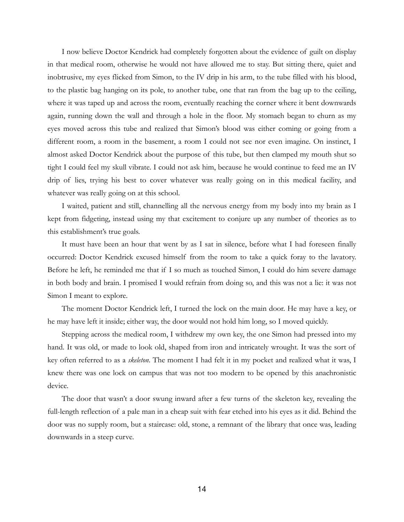I now believe Doctor Kendrick had completely forgotten about the evidence of guilt on display in that medical room, otherwise he would not have allowed me to stay. But sitting there, quiet and inobtrusive, my eyes flicked from Simon, to the IV drip in his arm, to the tube filled with his blood, to the plastic bag hanging on its pole, to another tube, one that ran from the bag up to the ceiling, where it was taped up and across the room, eventually reaching the corner where it bent downwards again, running down the wall and through a hole in the floor. My stomach began to churn as my eyes moved across this tube and realized that Simon's blood was either coming or going from a different room, a room in the basement, a room I could not see nor even imagine. On instinct, I almost asked Doctor Kendrick about the purpose of this tube, but then clamped my mouth shut so tight I could feel my skull vibrate. I could not ask him, because he would continue to feed me an IV drip of lies, trying his best to cover whatever was really going on in this medical facility, and whatever was really going on at this school.

I waited, patient and still, channelling all the nervous energy from my body into my brain as I kept from fidgeting, instead using my that excitement to conjure up any number of theories as to this establishment's true goals.

It must have been an hour that went by as I sat in silence, before what I had foreseen finally occurred: Doctor Kendrick excused himself from the room to take a quick foray to the lavatory. Before he left, he reminded me that if I so much as touched Simon, I could do him severe damage in both body and brain. I promised I would refrain from doing so, and this was not a lie: it was not Simon I meant to explore.

The moment Doctor Kendrick left, I turned the lock on the main door. He may have a key, or he may have left it inside; either way, the door would not hold him long, so I moved quickly.

Stepping across the medical room, I withdrew my own key, the one Simon had pressed into my hand. It was old, or made to look old, shaped from iron and intricately wrought. It was the sort of key often referred to as a *skeleton*. The moment I had felt it in my pocket and realized what it was, I knew there was one lock on campus that was not too modern to be opened by this anachronistic device.

The door that wasn't a door swung inward after a few turns of the skeleton key, revealing the full-length reflection of a pale man in a cheap suit with fear etched into his eyes as it did. Behind the door was no supply room, but a staircase: old, stone, a remnant of the library that once was, leading downwards in a steep curve.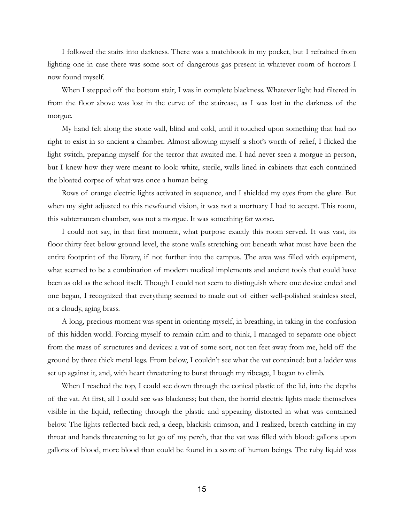I followed the stairs into darkness. There was a matchbook in my pocket, but I refrained from lighting one in case there was some sort of dangerous gas present in whatever room of horrors I now found myself.

When I stepped off the bottom stair, I was in complete blackness. Whatever light had filtered in from the floor above was lost in the curve of the staircase, as I was lost in the darkness of the morgue.

My hand felt along the stone wall, blind and cold, until it touched upon something that had no right to exist in so ancient a chamber. Almost allowing myself a shot's worth of relief, I flicked the light switch, preparing myself for the terror that awaited me. I had never seen a morgue in person, but I knew how they were meant to look: white, sterile, walls lined in cabinets that each contained the bloated corpse of what was once a human being.

Rows of orange electric lights activated in sequence, and I shielded my eyes from the glare. But when my sight adjusted to this newfound vision, it was not a mortuary I had to accept. This room, this subterranean chamber, was not a morgue. It was something far worse.

I could not say, in that first moment, what purpose exactly this room served. It was vast, its floor thirty feet below ground level, the stone walls stretching out beneath what must have been the entire footprint of the library, if not further into the campus. The area was filled with equipment, what seemed to be a combination of modern medical implements and ancient tools that could have been as old as the school itself. Though I could not seem to distinguish where one device ended and one began, I recognized that everything seemed to made out of either well-polished stainless steel, or a cloudy, aging brass.

A long, precious moment was spent in orienting myself, in breathing, in taking in the confusion of this hidden world. Forcing myself to remain calm and to think, I managed to separate one object from the mass of structures and devices: a vat of some sort, not ten feet away from me, held off the ground by three thick metal legs. From below, I couldn't see what the vat contained; but a ladder was set up against it, and, with heart threatening to burst through my ribcage, I began to climb.

When I reached the top, I could see down through the conical plastic of the lid, into the depths of the vat. At first, all I could see was blackness; but then, the horrid electric lights made themselves visible in the liquid, reflecting through the plastic and appearing distorted in what was contained below. The lights reflected back red, a deep, blackish crimson, and I realized, breath catching in my throat and hands threatening to let go of my perch, that the vat was filled with blood: gallons upon gallons of blood, more blood than could be found in a score of human beings. The ruby liquid was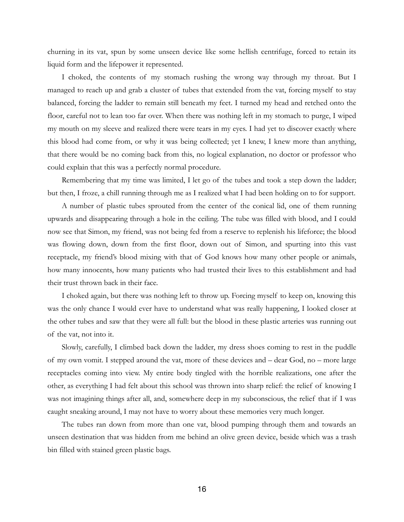churning in its vat, spun by some unseen device like some hellish centrifuge, forced to retain its liquid form and the lifepower it represented.

I choked, the contents of my stomach rushing the wrong way through my throat. But I managed to reach up and grab a cluster of tubes that extended from the vat, forcing myself to stay balanced, forcing the ladder to remain still beneath my feet. I turned my head and retched onto the floor, careful not to lean too far over. When there was nothing left in my stomach to purge, I wiped my mouth on my sleeve and realized there were tears in my eyes. I had yet to discover exactly where this blood had come from, or why it was being collected; yet I knew, I knew more than anything, that there would be no coming back from this, no logical explanation, no doctor or professor who could explain that this was a perfectly normal procedure.

Remembering that my time was limited, I let go of the tubes and took a step down the ladder; but then, I froze, a chill running through me as I realized what I had been holding on to for support.

A number of plastic tubes sprouted from the center of the conical lid, one of them running upwards and disappearing through a hole in the ceiling. The tube was filled with blood, and I could now see that Simon, my friend, was not being fed from a reserve to replenish his lifeforce; the blood was flowing down, down from the first floor, down out of Simon, and spurting into this vast receptacle, my friend's blood mixing with that of God knows how many other people or animals, how many innocents, how many patients who had trusted their lives to this establishment and had their trust thrown back in their face.

I choked again, but there was nothing left to throw up. Forcing myself to keep on, knowing this was the only chance I would ever have to understand what was really happening, I looked closer at the other tubes and saw that they were all full: but the blood in these plastic arteries was running out of the vat, not into it.

Slowly, carefully, I climbed back down the ladder, my dress shoes coming to rest in the puddle of my own vomit. I stepped around the vat, more of these devices and – dear God, no – more large receptacles coming into view. My entire body tingled with the horrible realizations, one after the other, as everything I had felt about this school was thrown into sharp relief: the relief of knowing I was not imagining things after all, and, somewhere deep in my subconscious, the relief that if I was caught sneaking around, I may not have to worry about these memories very much longer.

The tubes ran down from more than one vat, blood pumping through them and towards an unseen destination that was hidden from me behind an olive green device, beside which was a trash bin filled with stained green plastic bags.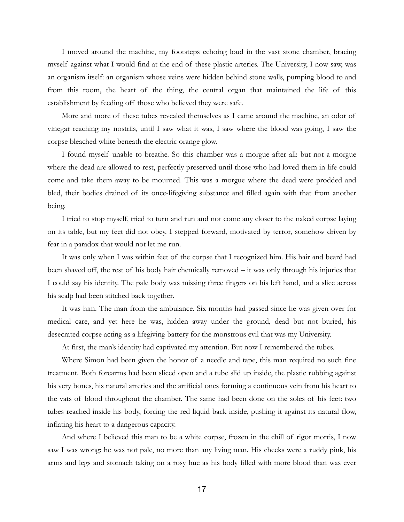I moved around the machine, my footsteps echoing loud in the vast stone chamber, bracing myself against what I would find at the end of these plastic arteries. The University, I now saw, was an organism itself: an organism whose veins were hidden behind stone walls, pumping blood to and from this room, the heart of the thing, the central organ that maintained the life of this establishment by feeding off those who believed they were safe.

More and more of these tubes revealed themselves as I came around the machine, an odor of vinegar reaching my nostrils, until I saw what it was, I saw where the blood was going, I saw the corpse bleached white beneath the electric orange glow.

I found myself unable to breathe. So this chamber was a morgue after all: but not a morgue where the dead are allowed to rest, perfectly preserved until those who had loved them in life could come and take them away to be mourned. This was a morgue where the dead were prodded and bled, their bodies drained of its once-lifegiving substance and filled again with that from another being.

I tried to stop myself, tried to turn and run and not come any closer to the naked corpse laying on its table, but my feet did not obey. I stepped forward, motivated by terror, somehow driven by fear in a paradox that would not let me run.

It was only when I was within feet of the corpse that I recognized him. His hair and beard had been shaved off, the rest of his body hair chemically removed – it was only through his injuries that I could say his identity. The pale body was missing three fingers on his left hand, and a slice across his scalp had been stitched back together.

It was him. The man from the ambulance. Six months had passed since he was given over for medical care, and yet here he was, hidden away under the ground, dead but not buried, his desecrated corpse acting as a lifegiving battery for the monstrous evil that was my University.

At first, the man's identity had captivated my attention. But now I remembered the tubes.

Where Simon had been given the honor of a needle and tape, this man required no such fine treatment. Both forearms had been sliced open and a tube slid up inside, the plastic rubbing against his very bones, his natural arteries and the artificial ones forming a continuous vein from his heart to the vats of blood throughout the chamber. The same had been done on the soles of his feet: two tubes reached inside his body, forcing the red liquid back inside, pushing it against its natural flow, inflating his heart to a dangerous capacity.

And where I believed this man to be a white corpse, frozen in the chill of rigor mortis, I now saw I was wrong: he was not pale, no more than any living man. His cheeks were a ruddy pink, his arms and legs and stomach taking on a rosy hue as his body filled with more blood than was ever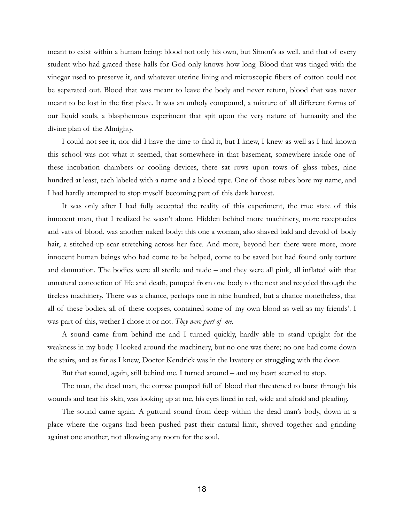meant to exist within a human being: blood not only his own, but Simon's as well, and that of every student who had graced these halls for God only knows how long. Blood that was tinged with the vinegar used to preserve it, and whatever uterine lining and microscopic fibers of cotton could not be separated out. Blood that was meant to leave the body and never return, blood that was never meant to be lost in the first place. It was an unholy compound, a mixture of all different forms of our liquid souls, a blasphemous experiment that spit upon the very nature of humanity and the divine plan of the Almighty.

I could not see it, nor did I have the time to find it, but I knew, I knew as well as I had known this school was not what it seemed, that somewhere in that basement, somewhere inside one of these incubation chambers or cooling devices, there sat rows upon rows of glass tubes, nine hundred at least, each labeled with a name and a blood type. One of those tubes bore my name, and I had hardly attempted to stop myself becoming part of this dark harvest.

It was only after I had fully accepted the reality of this experiment, the true state of this innocent man, that I realized he wasn't alone. Hidden behind more machinery, more receptacles and vats of blood, was another naked body: this one a woman, also shaved bald and devoid of body hair, a stitched-up scar stretching across her face. And more, beyond her: there were more, more innocent human beings who had come to be helped, come to be saved but had found only torture and damnation. The bodies were all sterile and nude – and they were all pink, all inflated with that unnatural concoction of life and death, pumped from one body to the next and recycled through the tireless machinery. There was a chance, perhaps one in nine hundred, but a chance nonetheless, that all of these bodies, all of these corpses, contained some of my own blood as well as my friends'. I was part of this, wether I chose it or not. *They were part of me*.

A sound came from behind me and I turned quickly, hardly able to stand upright for the weakness in my body. I looked around the machinery, but no one was there; no one had come down the stairs, and as far as I knew, Doctor Kendrick was in the lavatory or struggling with the door.

But that sound, again, still behind me. I turned around – and my heart seemed to stop.

The man, the dead man, the corpse pumped full of blood that threatened to burst through his wounds and tear his skin, was looking up at me, his eyes lined in red, wide and afraid and pleading.

The sound came again. A guttural sound from deep within the dead man's body, down in a place where the organs had been pushed past their natural limit, shoved together and grinding against one another, not allowing any room for the soul.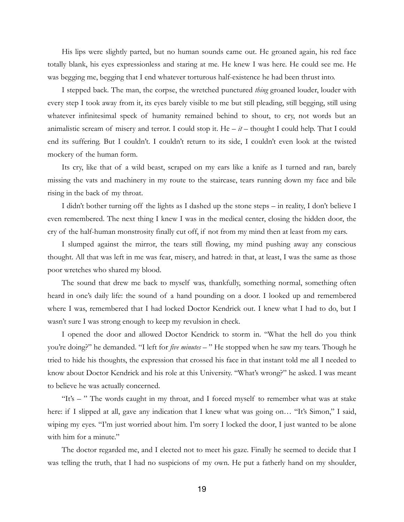His lips were slightly parted, but no human sounds came out. He groaned again, his red face totally blank, his eyes expressionless and staring at me. He knew I was here. He could see me. He was begging me, begging that I end whatever torturous half-existence he had been thrust into.

I stepped back. The man, the corpse, the wretched punctured *thing* groaned louder, louder with every step I took away from it, its eyes barely visible to me but still pleading, still begging, still using whatever infinitesimal speck of humanity remained behind to shout, to cry, not words but an animalistic scream of misery and terror. I could stop it. He  $-i$  – thought I could help. That I could end its suffering. But I couldn't. I couldn't return to its side, I couldn't even look at the twisted mockery of the human form.

Its cry, like that of a wild beast, scraped on my ears like a knife as I turned and ran, barely missing the vats and machinery in my route to the staircase, tears running down my face and bile rising in the back of my throat.

I didn't bother turning off the lights as I dashed up the stone steps – in reality, I don't believe I even remembered. The next thing I knew I was in the medical center, closing the hidden door, the cry of the half-human monstrosity finally cut off, if not from my mind then at least from my ears.

I slumped against the mirror, the tears still flowing, my mind pushing away any conscious thought. All that was left in me was fear, misery, and hatred: in that, at least, I was the same as those poor wretches who shared my blood.

The sound that drew me back to myself was, thankfully, something normal, something often heard in one's daily life: the sound of a hand pounding on a door. I looked up and remembered where I was, remembered that I had locked Doctor Kendrick out. I knew what I had to do, but I wasn't sure I was strong enough to keep my revulsion in check.

I opened the door and allowed Doctor Kendrick to storm in. "What the hell do you think you're doing?" he demanded. "I left for *five minutes* – " He stopped when he saw my tears. Though he tried to hide his thoughts, the expression that crossed his face in that instant told me all I needed to know about Doctor Kendrick and his role at this University. "What's wrong?" he asked. I was meant to believe he was actually concerned.

"It's – " The words caught in my throat, and I forced myself to remember what was at stake here: if I slipped at all, gave any indication that I knew what was going on... "It's Simon," I said, wiping my eyes. "I'm just worried about him. I'm sorry I locked the door, I just wanted to be alone with him for a minute."

The doctor regarded me, and I elected not to meet his gaze. Finally he seemed to decide that I was telling the truth, that I had no suspicions of my own. He put a fatherly hand on my shoulder,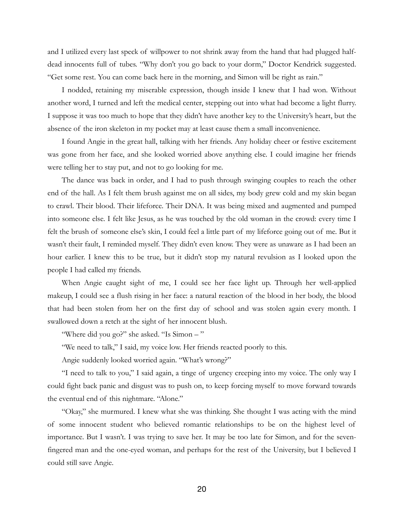and I utilized every last speck of willpower to not shrink away from the hand that had plugged halfdead innocents full of tubes. "Why don't you go back to your dorm," Doctor Kendrick suggested. "Get some rest. You can come back here in the morning, and Simon will be right as rain."

I nodded, retaining my miserable expression, though inside I knew that I had won. Without another word, I turned and left the medical center, stepping out into what had become a light flurry. I suppose it was too much to hope that they didn't have another key to the University's heart, but the absence of the iron skeleton in my pocket may at least cause them a small inconvenience.

I found Angie in the great hall, talking with her friends. Any holiday cheer or festive excitement was gone from her face, and she looked worried above anything else. I could imagine her friends were telling her to stay put, and not to go looking for me.

The dance was back in order, and I had to push through swinging couples to reach the other end of the hall. As I felt them brush against me on all sides, my body grew cold and my skin began to crawl. Their blood. Their lifeforce. Their DNA. It was being mixed and augmented and pumped into someone else. I felt like Jesus, as he was touched by the old woman in the crowd: every time I felt the brush of someone else's skin, I could feel a little part of my lifeforce going out of me. But it wasn't their fault, I reminded myself. They didn't even know. They were as unaware as I had been an hour earlier. I knew this to be true, but it didn't stop my natural revulsion as I looked upon the people I had called my friends.

When Angie caught sight of me, I could see her face light up. Through her well-applied makeup, I could see a flush rising in her face: a natural reaction of the blood in her body, the blood that had been stolen from her on the first day of school and was stolen again every month. I swallowed down a retch at the sight of her innocent blush.

"Where did you go?" she asked. "Is Simon – "

"We need to talk," I said, my voice low. Her friends reacted poorly to this.

Angie suddenly looked worried again. "What's wrong?"

"I need to talk to you," I said again, a tinge of urgency creeping into my voice. The only way I could fight back panic and disgust was to push on, to keep forcing myself to move forward towards the eventual end of this nightmare. "Alone."

"Okay," she murmured. I knew what she was thinking. She thought I was acting with the mind of some innocent student who believed romantic relationships to be on the highest level of importance. But I wasn't. I was trying to save her. It may be too late for Simon, and for the sevenfingered man and the one-eyed woman, and perhaps for the rest of the University, but I believed I could still save Angie.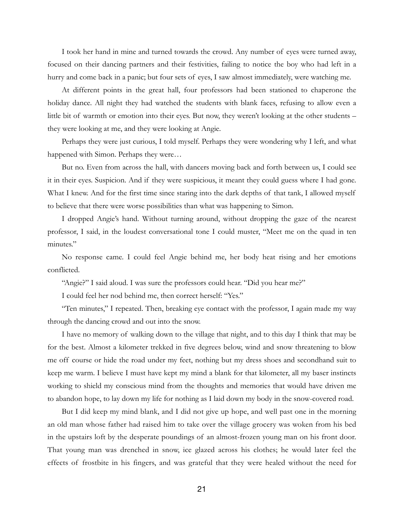I took her hand in mine and turned towards the crowd. Any number of eyes were turned away, focused on their dancing partners and their festivities, failing to notice the boy who had left in a hurry and come back in a panic; but four sets of eyes, I saw almost immediately, were watching me.

At different points in the great hall, four professors had been stationed to chaperone the holiday dance. All night they had watched the students with blank faces, refusing to allow even a little bit of warmth or emotion into their eyes. But now, they weren't looking at the other students – they were looking at me, and they were looking at Angie.

Perhaps they were just curious, I told myself. Perhaps they were wondering why I left, and what happened with Simon. Perhaps they were...

But no. Even from across the hall, with dancers moving back and forth between us, I could see it in their eyes. Suspicion. And if they were suspicious, it meant they could guess where I had gone. What I knew. And for the first time since staring into the dark depths of that tank, I allowed myself to believe that there were worse possibilities than what was happening to Simon.

I dropped Angie's hand. Without turning around, without dropping the gaze of the nearest professor, I said, in the loudest conversational tone I could muster, "Meet me on the quad in ten minutes."

No response came. I could feel Angie behind me, her body heat rising and her emotions conflicted.

"Angie?" I said aloud. I was sure the professors could hear. "Did you hear me?"

I could feel her nod behind me, then correct herself: "Yes."

"Ten minutes," I repeated. Then, breaking eye contact with the professor, I again made my way through the dancing crowd and out into the snow.

I have no memory of walking down to the village that night, and to this day I think that may be for the best. Almost a kilometer trekked in five degrees below, wind and snow threatening to blow me off course or hide the road under my feet, nothing but my dress shoes and secondhand suit to keep me warm. I believe I must have kept my mind a blank for that kilometer, all my baser instincts working to shield my conscious mind from the thoughts and memories that would have driven me to abandon hope, to lay down my life for nothing as I laid down my body in the snow-covered road.

But I did keep my mind blank, and I did not give up hope, and well past one in the morning an old man whose father had raised him to take over the village grocery was woken from his bed in the upstairs loft by the desperate poundings of an almost-frozen young man on his front door. That young man was drenched in snow, ice glazed across his clothes; he would later feel the effects of frostbite in his fingers, and was grateful that they were healed without the need for